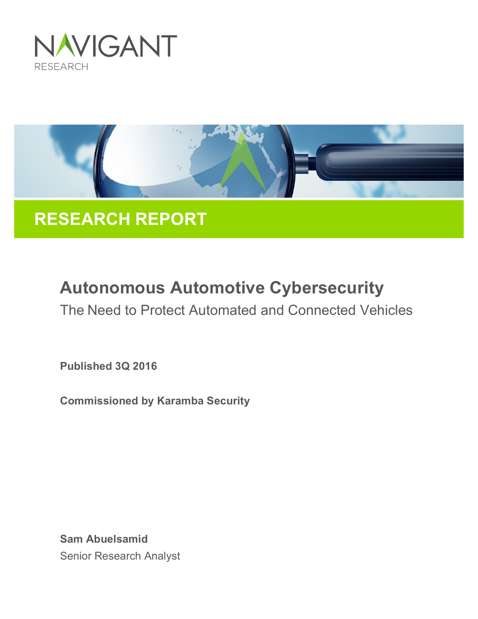



# **RESEARCH REPORT**

# **Autonomous Automotive Cybersecurity**

The Need to Protect Automated and Connected Vehicles

**Published 3Q 2016**

**Commissioned by Karamba Security**

**Sam Abuelsamid** Senior Research Analyst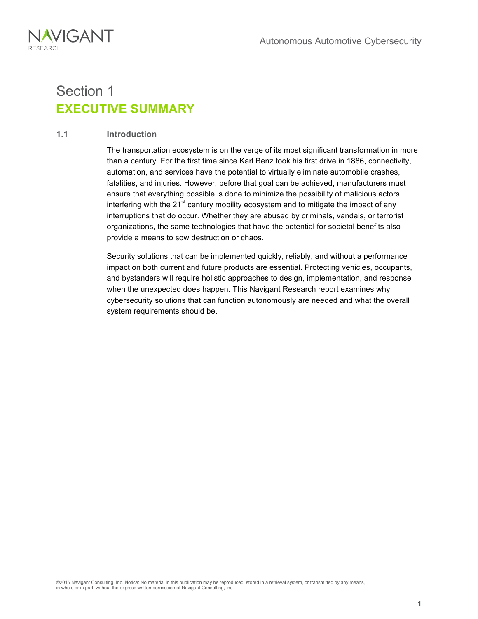

### Section 1 **EXECUTIVE SUMMARY**

#### **1.1 Introduction**

The transportation ecosystem is on the verge of its most significant transformation in more than a century. For the first time since Karl Benz took his first drive in 1886, connectivity, automation, and services have the potential to virtually eliminate automobile crashes, fatalities, and injuries. However, before that goal can be achieved, manufacturers must ensure that everything possible is done to minimize the possibility of malicious actors interfering with the  $21^{st}$  century mobility ecosystem and to mitigate the impact of any interruptions that do occur. Whether they are abused by criminals, vandals, or terrorist organizations, the same technologies that have the potential for societal benefits also provide a means to sow destruction or chaos.

Security solutions that can be implemented quickly, reliably, and without a performance impact on both current and future products are essential. Protecting vehicles, occupants, and bystanders will require holistic approaches to design, implementation, and response when the unexpected does happen. This Navigant Research report examines why cybersecurity solutions that can function autonomously are needed and what the overall system requirements should be.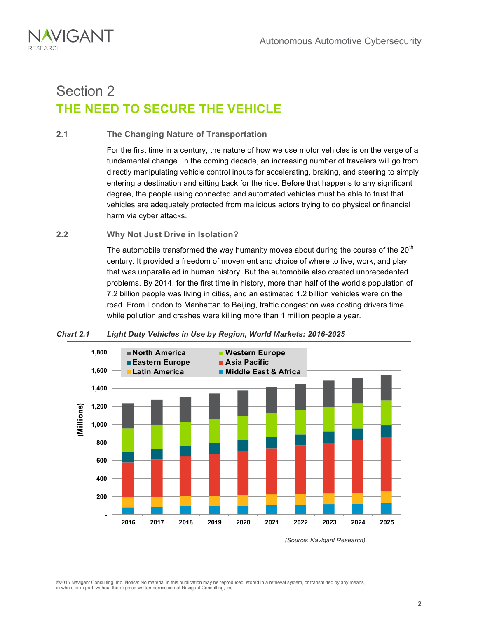

### Section 2 **THE NEED TO SECURE THE VEHICLE**

#### **2.1 The Changing Nature of Transportation**

For the first time in a century, the nature of how we use motor vehicles is on the verge of a fundamental change. In the coming decade, an increasing number of travelers will go from directly manipulating vehicle control inputs for accelerating, braking, and steering to simply entering a destination and sitting back for the ride. Before that happens to any significant degree, the people using connected and automated vehicles must be able to trust that vehicles are adequately protected from malicious actors trying to do physical or financial harm via cyber attacks.

#### **2.2 Why Not Just Drive in Isolation?**

The automobile transformed the way humanity moves about during the course of the  $20<sup>th</sup>$ century. It provided a freedom of movement and choice of where to live, work, and play that was unparalleled in human history. But the automobile also created unprecedented problems. By 2014, for the first time in history, more than half of the world's population of 7.2 billion people was living in cities, and an estimated 1.2 billion vehicles were on the road. From London to Manhattan to Beijing, traffic congestion was costing drivers time, while pollution and crashes were killing more than 1 million people a year.



#### *Chart 2.1 Light Duty Vehicles in Use by Region, World Markets: 2016-2025*

*(Source: Navigant Research)*

©2016 Navigant Consulting, Inc. Notice: No material in this publication may be reproduced, stored in a retrieval system, or transmitted by any means, in whole or in part, without the express written permission of Navigant Consulting, Inc.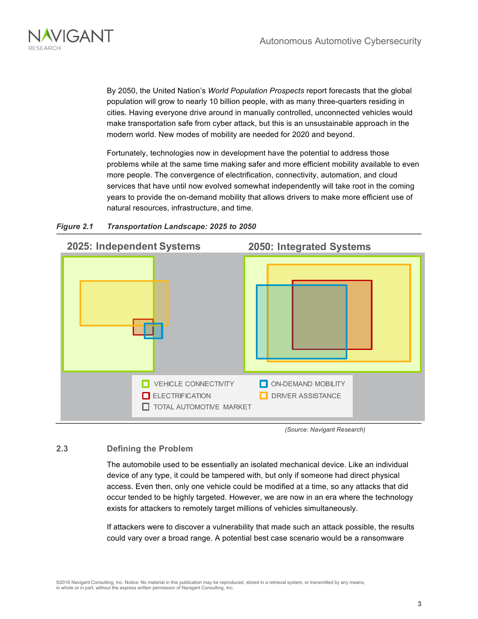

By 2050, the United Nation's *World Population Prospects* report forecasts that the global population will grow to nearly 10 billion people, with as many three-quarters residing in cities. Having everyone drive around in manually controlled, unconnected vehicles would make transportation safe from cyber attack, but this is an unsustainable approach in the modern world. New modes of mobility are needed for 2020 and beyond.

Fortunately, technologies now in development have the potential to address those problems while at the same time making safer and more efficient mobility available to even more people. The convergence of electrification, connectivity, automation, and cloud services that have until now evolved somewhat independently will take root in the coming years to provide the on-demand mobility that allows drivers to make more efficient use of natural resources, infrastructure, and time.



#### *Figure 2.1 Transportation Landscape: 2025 to 2050*

*(Source: Navigant Research)*

#### **2.3 Defining the Problem**

The automobile used to be essentially an isolated mechanical device. Like an individual device of any type, it could be tampered with, but only if someone had direct physical access. Even then, only one vehicle could be modified at a time, so any attacks that did occur tended to be highly targeted. However, we are now in an era where the technology exists for attackers to remotely target millions of vehicles simultaneously.

If attackers were to discover a vulnerability that made such an attack possible, the results could vary over a broad range. A potential best case scenario would be a ransomware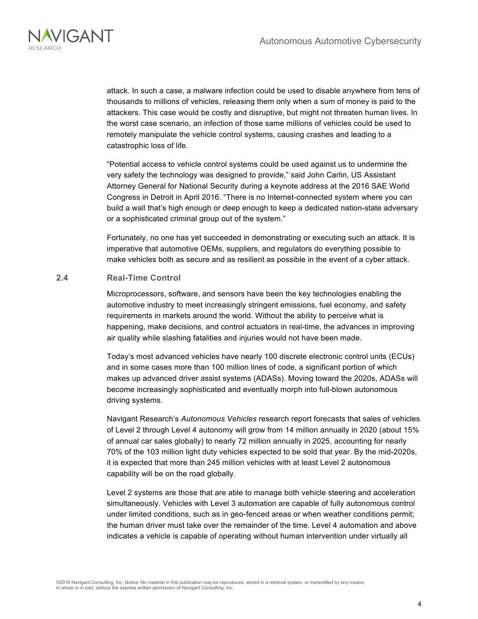

attack. In such a case, a malware infection could be used to disable anywhere from tens of thousands to millions of vehicles, releasing them only when a sum of money is paid to the attackers. This case would be costly and disruptive, but might not threaten human lives. In the worst case scenario, an infection of those same millions of vehicles could be used to remotely manipulate the vehicle control systems, causing crashes and leading to a catastrophic loss of life.

"Potential access to vehicle control systems could be used against us to undermine the very safety the technology was designed to provide," said John Carlin, US Assistant Attorney General for National Security during a keynote address at the 2016 SAE World Congress in Detroit in April 2016. "There is no Internet-connected system where you can build a wall that's high enough or deep enough to keep a dedicated nation-state adversary or a sophisticated criminal group out of the system."

Fortunately, no one has yet succeeded in demonstrating or executing such an attack. It is imperative that automotive OEMs, suppliers, and regulators do everything possible to make vehicles both as secure and as resilient as possible in the event of a cyber attack.

#### **2.4 Real-Time Control**

Microprocessors, software, and sensors have been the key technologies enabling the automotive industry to meet increasingly stringent emissions, fuel economy, and safety requirements in markets around the world. Without the ability to perceive what is happening, make decisions, and control actuators in real-time, the advances in improving air quality while slashing fatalities and injuries would not have been made.

Today's most advanced vehicles have nearly 100 discrete electronic control units (ECUs) and in some cases more than 100 million lines of code, a significant portion of which makes up advanced driver assist systems (ADASs). Moving toward the 2020s, ADASs will become increasingly sophisticated and eventually morph into full-blown autonomous driving systems.

Navigant Research's *Autonomous Vehicles* research report forecasts that sales of vehicles of Level 2 through Level 4 autonomy will grow from 14 million annually in 2020 (about 15% of annual car sales globally) to nearly 72 million annually in 2025, accounting for nearly 70% of the 103 million light duty vehicles expected to be sold that year. By the mid-2020s, it is expected that more than 245 million vehicles with at least Level 2 autonomous capability will be on the road globally.

Level 2 systems are those that are able to manage both vehicle steering and acceleration simultaneously. Vehicles with Level 3 automation are capable of fully autonomous control under limited conditions, such as in geo-fenced areas or when weather conditions permit; the human driver must take over the remainder of the time. Level 4 automation and above indicates a vehicle is capable of operating without human intervention under virtually all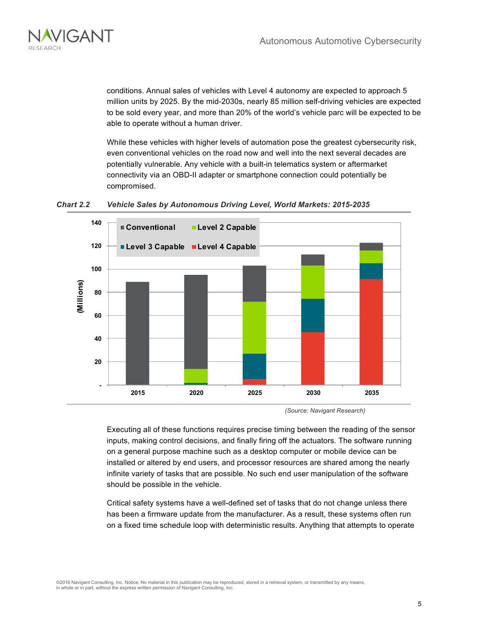

conditions. Annual sales of vehicles with Level 4 autonomy are expected to approach 5 million units by 2025. By the mid-2030s, nearly 85 million self-driving vehicles are expected to be sold every year, and more than 20% of the world's vehicle parc will be expected to be able to operate without a human driver.

While these vehicles with higher levels of automation pose the greatest cybersecurity risk, even conventional vehicles on the road now and well into the next several decades are potentially vulnerable. Any vehicle with a built-in telematics system or aftermarket connectivity via an OBD-II adapter or smartphone connection could potentially be compromised.





*(Source: Navigant Research)*

Executing all of these functions requires precise timing between the reading of the sensor inputs, making control decisions, and finally firing off the actuators. The software running on a general purpose machine such as a desktop computer or mobile device can be installed or altered by end users, and processor resources are shared among the nearly infinite variety of tasks that are possible. No such end user manipulation of the software should be possible in the vehicle.

Critical safety systems have a well-defined set of tasks that do not change unless there has been a firmware update from the manufacturer. As a result, these systems often run on a fixed time schedule loop with deterministic results. Anything that attempts to operate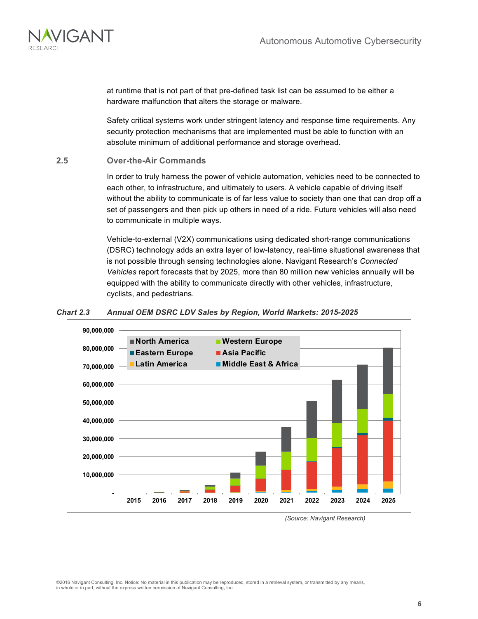

at runtime that is not part of that pre-defined task list can be assumed to be either a hardware malfunction that alters the storage or malware.

Safety critical systems work under stringent latency and response time requirements. Any security protection mechanisms that are implemented must be able to function with an absolute minimum of additional performance and storage overhead.

#### **2.5 Over-the-Air Commands**

In order to truly harness the power of vehicle automation, vehicles need to be connected to each other, to infrastructure, and ultimately to users. A vehicle capable of driving itself without the ability to communicate is of far less value to society than one that can drop off a set of passengers and then pick up others in need of a ride. Future vehicles will also need to communicate in multiple ways.

Vehicle-to-external (V2X) communications using dedicated short-range communications (DSRC) technology adds an extra layer of low-latency, real-time situational awareness that is not possible through sensing technologies alone. Navigant Research's *Connected Vehicles* report forecasts that by 2025, more than 80 million new vehicles annually will be equipped with the ability to communicate directly with other vehicles, infrastructure, cyclists, and pedestrians.

#### *Chart 2.3 Annual OEM DSRC LDV Sales by Region, World Markets: 2015-2025*



*(Source: Navigant Research)*

©2016 Navigant Consulting, Inc. Notice: No material in this publication may be reproduced, stored in a retrieval system, or transmitted by any means, in whole or in part, without the express written permission of Navigant Consulting, Inc.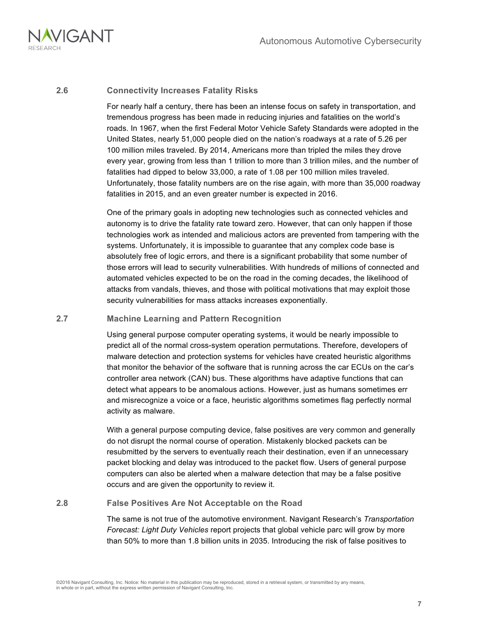

#### **2.6 Connectivity Increases Fatality Risks**

For nearly half a century, there has been an intense focus on safety in transportation, and tremendous progress has been made in reducing injuries and fatalities on the world's roads. In 1967, when the first Federal Motor Vehicle Safety Standards were adopted in the United States, nearly 51,000 people died on the nation's roadways at a rate of 5.26 per 100 million miles traveled. By 2014, Americans more than tripled the miles they drove every year, growing from less than 1 trillion to more than 3 trillion miles, and the number of fatalities had dipped to below 33,000, a rate of 1.08 per 100 million miles traveled. Unfortunately, those fatality numbers are on the rise again, with more than 35,000 roadway fatalities in 2015, and an even greater number is expected in 2016.

One of the primary goals in adopting new technologies such as connected vehicles and autonomy is to drive the fatality rate toward zero. However, that can only happen if those technologies work as intended and malicious actors are prevented from tampering with the systems. Unfortunately, it is impossible to guarantee that any complex code base is absolutely free of logic errors, and there is a significant probability that some number of those errors will lead to security vulnerabilities. With hundreds of millions of connected and automated vehicles expected to be on the road in the coming decades, the likelihood of attacks from vandals, thieves, and those with political motivations that may exploit those security vulnerabilities for mass attacks increases exponentially.

#### **2.7 Machine Learning and Pattern Recognition**

Using general purpose computer operating systems, it would be nearly impossible to predict all of the normal cross-system operation permutations. Therefore, developers of malware detection and protection systems for vehicles have created heuristic algorithms that monitor the behavior of the software that is running across the car ECUs on the car's controller area network (CAN) bus. These algorithms have adaptive functions that can detect what appears to be anomalous actions. However, just as humans sometimes err and misrecognize a voice or a face, heuristic algorithms sometimes flag perfectly normal activity as malware.

With a general purpose computing device, false positives are very common and generally do not disrupt the normal course of operation. Mistakenly blocked packets can be resubmitted by the servers to eventually reach their destination, even if an unnecessary packet blocking and delay was introduced to the packet flow. Users of general purpose computers can also be alerted when a malware detection that may be a false positive occurs and are given the opportunity to review it.

#### **2.8 False Positives Are Not Acceptable on the Road**

The same is not true of the automotive environment. Navigant Research's *Transportation Forecast: Light Duty Vehicles* report projects that global vehicle parc will grow by more than 50% to more than 1.8 billion units in 2035. Introducing the risk of false positives to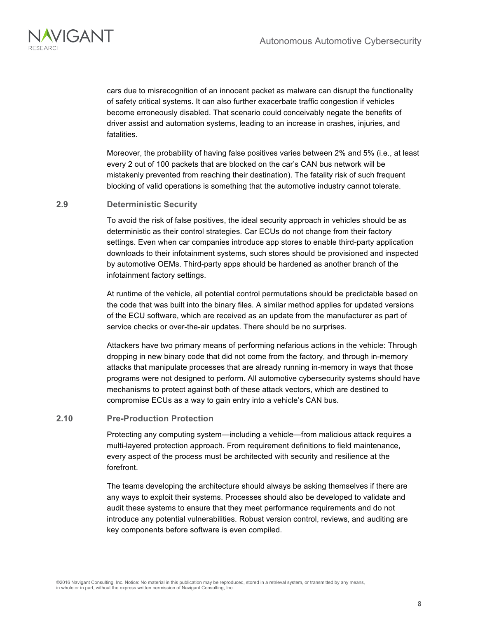

cars due to misrecognition of an innocent packet as malware can disrupt the functionality of safety critical systems. It can also further exacerbate traffic congestion if vehicles become erroneously disabled. That scenario could conceivably negate the benefits of driver assist and automation systems, leading to an increase in crashes, injuries, and fatalities.

Moreover, the probability of having false positives varies between 2% and 5% (i.e., at least every 2 out of 100 packets that are blocked on the car's CAN bus network will be mistakenly prevented from reaching their destination). The fatality risk of such frequent blocking of valid operations is something that the automotive industry cannot tolerate.

#### **2.9 Deterministic Security**

To avoid the risk of false positives, the ideal security approach in vehicles should be as deterministic as their control strategies. Car ECUs do not change from their factory settings. Even when car companies introduce app stores to enable third-party application downloads to their infotainment systems, such stores should be provisioned and inspected by automotive OEMs. Third-party apps should be hardened as another branch of the infotainment factory settings.

At runtime of the vehicle, all potential control permutations should be predictable based on the code that was built into the binary files. A similar method applies for updated versions of the ECU software, which are received as an update from the manufacturer as part of service checks or over-the-air updates. There should be no surprises.

Attackers have two primary means of performing nefarious actions in the vehicle: Through dropping in new binary code that did not come from the factory, and through in-memory attacks that manipulate processes that are already running in-memory in ways that those programs were not designed to perform. All automotive cybersecurity systems should have mechanisms to protect against both of these attack vectors, which are destined to compromise ECUs as a way to gain entry into a vehicle's CAN bus.

#### **2.10 Pre-Production Protection**

Protecting any computing system—including a vehicle—from malicious attack requires a multi-layered protection approach. From requirement definitions to field maintenance, every aspect of the process must be architected with security and resilience at the forefront.

The teams developing the architecture should always be asking themselves if there are any ways to exploit their systems. Processes should also be developed to validate and audit these systems to ensure that they meet performance requirements and do not introduce any potential vulnerabilities. Robust version control, reviews, and auditing are key components before software is even compiled.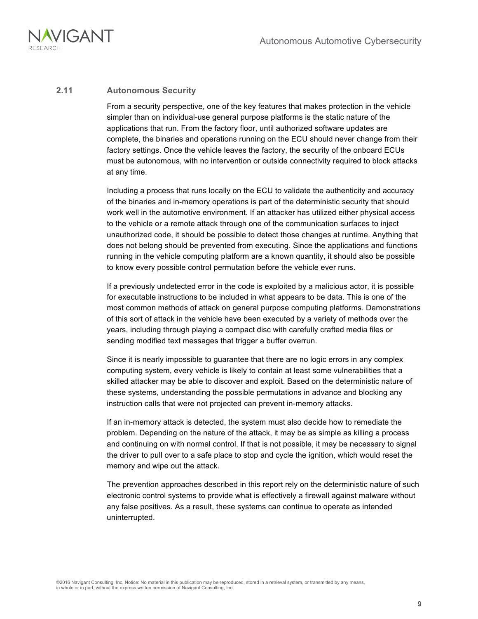

#### **2.11 Autonomous Security**

From a security perspective, one of the key features that makes protection in the vehicle simpler than on individual-use general purpose platforms is the static nature of the applications that run. From the factory floor, until authorized software updates are complete, the binaries and operations running on the ECU should never change from their factory settings. Once the vehicle leaves the factory, the security of the onboard ECUs must be autonomous, with no intervention or outside connectivity required to block attacks at any time.

Including a process that runs locally on the ECU to validate the authenticity and accuracy of the binaries and in-memory operations is part of the deterministic security that should work well in the automotive environment. If an attacker has utilized either physical access to the vehicle or a remote attack through one of the communication surfaces to inject unauthorized code, it should be possible to detect those changes at runtime. Anything that does not belong should be prevented from executing. Since the applications and functions running in the vehicle computing platform are a known quantity, it should also be possible to know every possible control permutation before the vehicle ever runs.

If a previously undetected error in the code is exploited by a malicious actor, it is possible for executable instructions to be included in what appears to be data. This is one of the most common methods of attack on general purpose computing platforms. Demonstrations of this sort of attack in the vehicle have been executed by a variety of methods over the years, including through playing a compact disc with carefully crafted media files or sending modified text messages that trigger a buffer overrun.

Since it is nearly impossible to guarantee that there are no logic errors in any complex computing system, every vehicle is likely to contain at least some vulnerabilities that a skilled attacker may be able to discover and exploit. Based on the deterministic nature of these systems, understanding the possible permutations in advance and blocking any instruction calls that were not projected can prevent in-memory attacks.

If an in-memory attack is detected, the system must also decide how to remediate the problem. Depending on the nature of the attack, it may be as simple as killing a process and continuing on with normal control. If that is not possible, it may be necessary to signal the driver to pull over to a safe place to stop and cycle the ignition, which would reset the memory and wipe out the attack.

The prevention approaches described in this report rely on the deterministic nature of such electronic control systems to provide what is effectively a firewall against malware without any false positives. As a result, these systems can continue to operate as intended uninterrupted.

©2016 Navigant Consulting, Inc. Notice: No material in this publication may be reproduced, stored in a retrieval system, or transmitted by any means, in whole or in part, without the express written permission of Navigant Consulting, Inc.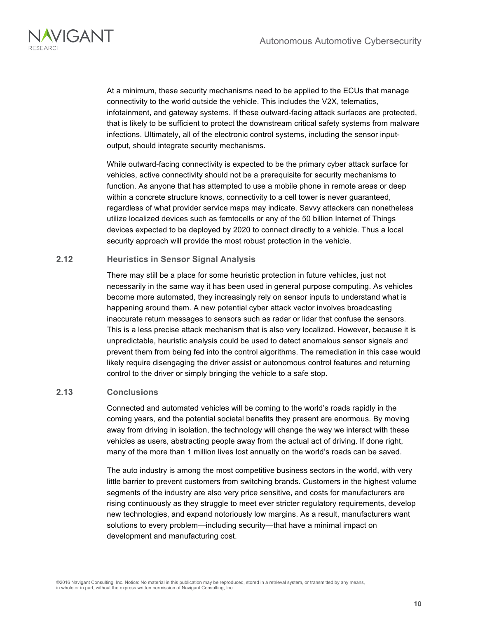

At a minimum, these security mechanisms need to be applied to the ECUs that manage connectivity to the world outside the vehicle. This includes the V2X, telematics, infotainment, and gateway systems. If these outward-facing attack surfaces are protected, that is likely to be sufficient to protect the downstream critical safety systems from malware infections. Ultimately, all of the electronic control systems, including the sensor inputoutput, should integrate security mechanisms.

While outward-facing connectivity is expected to be the primary cyber attack surface for vehicles, active connectivity should not be a prerequisite for security mechanisms to function. As anyone that has attempted to use a mobile phone in remote areas or deep within a concrete structure knows, connectivity to a cell tower is never guaranteed, regardless of what provider service maps may indicate. Savvy attackers can nonetheless utilize localized devices such as femtocells or any of the 50 billion Internet of Things devices expected to be deployed by 2020 to connect directly to a vehicle. Thus a local security approach will provide the most robust protection in the vehicle.

#### **2.12 Heuristics in Sensor Signal Analysis**

There may still be a place for some heuristic protection in future vehicles, just not necessarily in the same way it has been used in general purpose computing. As vehicles become more automated, they increasingly rely on sensor inputs to understand what is happening around them. A new potential cyber attack vector involves broadcasting inaccurate return messages to sensors such as radar or lidar that confuse the sensors. This is a less precise attack mechanism that is also very localized. However, because it is unpredictable, heuristic analysis could be used to detect anomalous sensor signals and prevent them from being fed into the control algorithms. The remediation in this case would likely require disengaging the driver assist or autonomous control features and returning control to the driver or simply bringing the vehicle to a safe stop.

#### **2.13 Conclusions**

Connected and automated vehicles will be coming to the world's roads rapidly in the coming years, and the potential societal benefits they present are enormous. By moving away from driving in isolation, the technology will change the way we interact with these vehicles as users, abstracting people away from the actual act of driving. If done right, many of the more than 1 million lives lost annually on the world's roads can be saved.

The auto industry is among the most competitive business sectors in the world, with very little barrier to prevent customers from switching brands. Customers in the highest volume segments of the industry are also very price sensitive, and costs for manufacturers are rising continuously as they struggle to meet ever stricter regulatory requirements, develop new technologies, and expand notoriously low margins. As a result, manufacturers want solutions to every problem—including security—that have a minimal impact on development and manufacturing cost.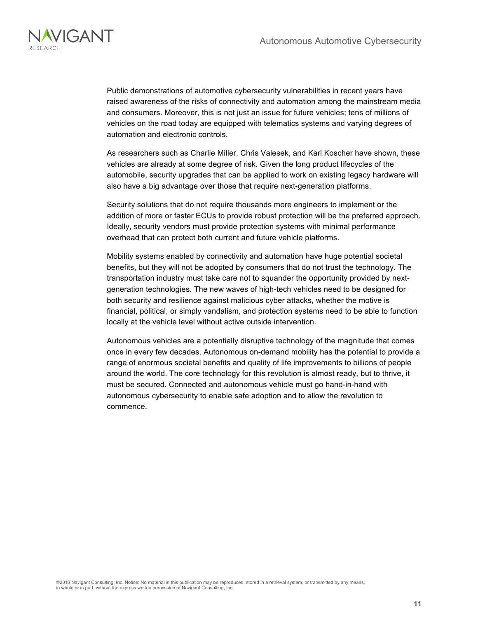

Public demonstrations of automotive cybersecurity vulnerabilities in recent years have raised awareness of the risks of connectivity and automation among the mainstream media and consumers. Moreover, this is not just an issue for future vehicles; tens of millions of vehicles on the road today are equipped with telematics systems and varying degrees of automation and electronic controls.

As researchers such as Charlie Miller, Chris Valesek, and Karl Koscher have shown, these vehicles are already at some degree of risk. Given the long product lifecycles of the automobile, security upgrades that can be applied to work on existing legacy hardware will also have a big advantage over those that require next-generation platforms.

Security solutions that do not require thousands more engineers to implement or the addition of more or faster ECUs to provide robust protection will be the preferred approach. Ideally, security vendors must provide protection systems with minimal performance overhead that can protect both current and future vehicle platforms.

Mobility systems enabled by connectivity and automation have huge potential societal benefits, but they will not be adopted by consumers that do not trust the technology. The transportation industry must take care not to squander the opportunity provided by nextgeneration technologies. The new waves of high-tech vehicles need to be designed for both security and resilience against malicious cyber attacks, whether the motive is financial, political, or simply vandalism, and protection systems need to be able to function locally at the vehicle level without active outside intervention.

Autonomous vehicles are a potentially disruptive technology of the magnitude that comes once in every few decades. Autonomous on-demand mobility has the potential to provide a range of enormous societal benefits and quality of life improvements to billions of people around the world. The core technology for this revolution is almost ready, but to thrive, it must be secured. Connected and autonomous vehicle must go hand-in-hand with autonomous cybersecurity to enable safe adoption and to allow the revolution to commence.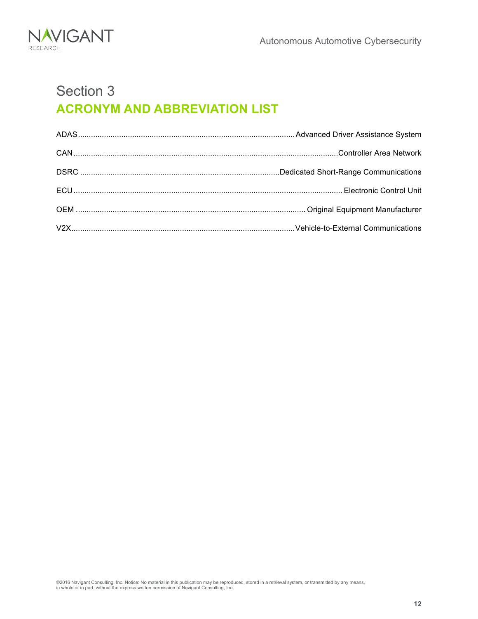

## Section 3 **ACRONYM AND ABBREVIATION LIST**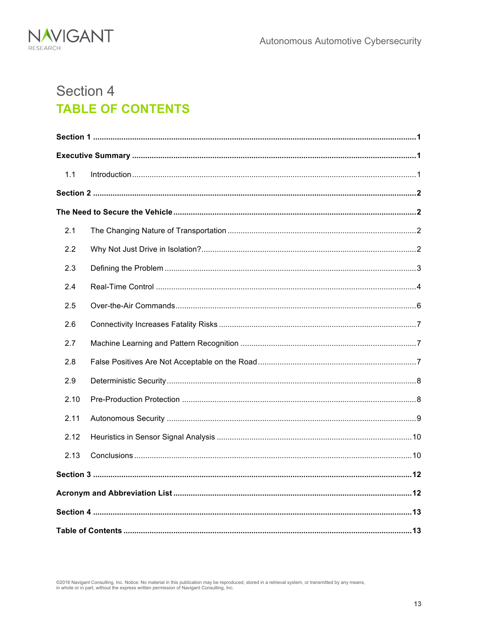

## Section 4 **TABLE OF CONTENTS**

| 1.1  |  |  |
|------|--|--|
|      |  |  |
|      |  |  |
| 2.1  |  |  |
| 2.2  |  |  |
| 2.3  |  |  |
| 2.4  |  |  |
| 2.5  |  |  |
| 2.6  |  |  |
| 2.7  |  |  |
| 2.8  |  |  |
| 2.9  |  |  |
| 2.10 |  |  |
| 2.11 |  |  |
| 2.12 |  |  |
| 2.13 |  |  |
|      |  |  |
|      |  |  |
|      |  |  |
|      |  |  |

©2016 Navigant Consulting, Inc. Notice: No material in this publication may be reproduced, stored in a retrieval system, or transmitted by any means,<br>in whole or in part, without the express written permission of Navigant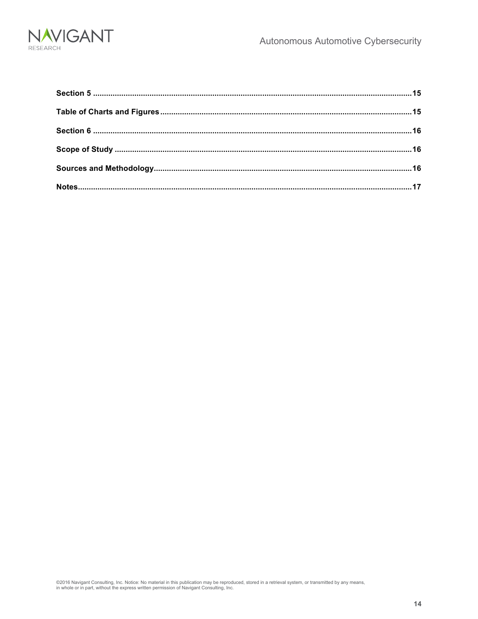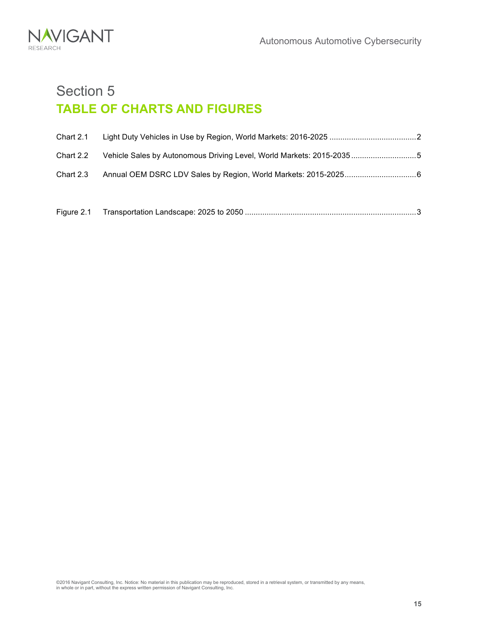

### Section 5 **TABLE OF CHARTS AND FIGURES**

| Chart 2.1 |                                                                      |  |
|-----------|----------------------------------------------------------------------|--|
| Chart 2.2 | Vehicle Sales by Autonomous Driving Level, World Markets: 2015-20355 |  |
| Chart 2.3 |                                                                      |  |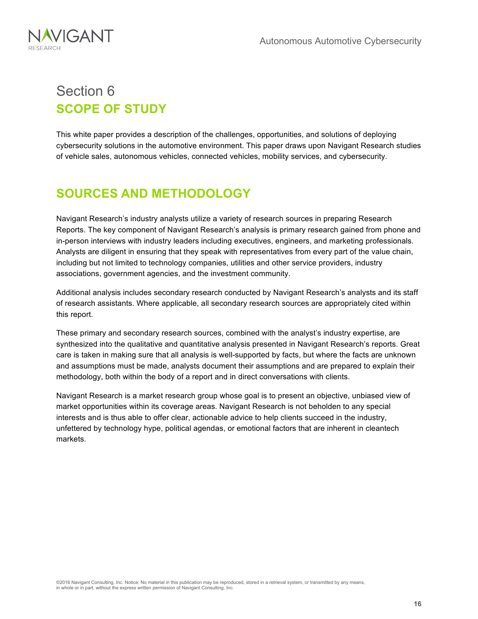

### Section 6 **SCOPE OF STUDY**

This white paper provides a description of the challenges, opportunities, and solutions of deploying cybersecurity solutions in the automotive environment. This paper draws upon Navigant Research studies of vehicle sales, autonomous vehicles, connected vehicles, mobility services, and cybersecurity.

### **SOURCES AND METHODOLOGY**

Navigant Research's industry analysts utilize a variety of research sources in preparing Research Reports. The key component of Navigant Research's analysis is primary research gained from phone and in-person interviews with industry leaders including executives, engineers, and marketing professionals. Analysts are diligent in ensuring that they speak with representatives from every part of the value chain, including but not limited to technology companies, utilities and other service providers, industry associations, government agencies, and the investment community.

Additional analysis includes secondary research conducted by Navigant Research's analysts and its staff of research assistants. Where applicable, all secondary research sources are appropriately cited within this report.

These primary and secondary research sources, combined with the analyst's industry expertise, are synthesized into the qualitative and quantitative analysis presented in Navigant Research's reports. Great care is taken in making sure that all analysis is well-supported by facts, but where the facts are unknown and assumptions must be made, analysts document their assumptions and are prepared to explain their methodology, both within the body of a report and in direct conversations with clients.

Navigant Research is a market research group whose goal is to present an objective, unbiased view of market opportunities within its coverage areas. Navigant Research is not beholden to any special interests and is thus able to offer clear, actionable advice to help clients succeed in the industry, unfettered by technology hype, political agendas, or emotional factors that are inherent in cleantech markets.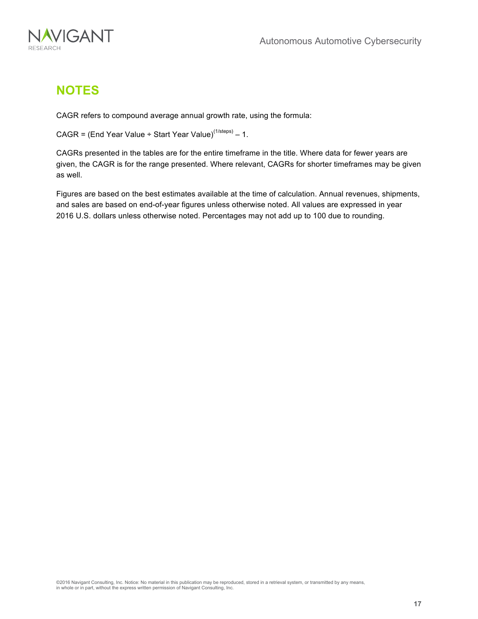

### **NOTES**

CAGR refers to compound average annual growth rate, using the formula:

CAGR = (End Year Value ÷ Start Year Value)<sup>(1/steps)</sup> – 1.

CAGRs presented in the tables are for the entire timeframe in the title. Where data for fewer years are given, the CAGR is for the range presented. Where relevant, CAGRs for shorter timeframes may be given as well.

Figures are based on the best estimates available at the time of calculation. Annual revenues, shipments, and sales are based on end-of-year figures unless otherwise noted. All values are expressed in year 2016 U.S. dollars unless otherwise noted. Percentages may not add up to 100 due to rounding.